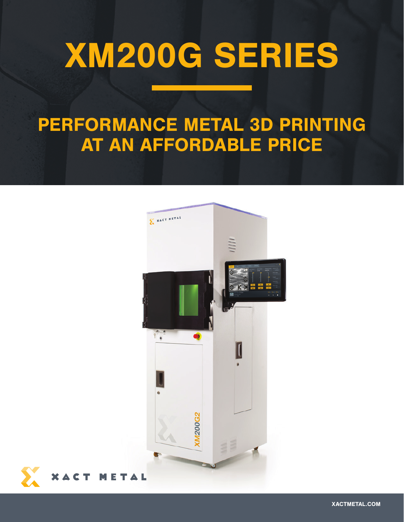# XM200G SERIES

## PERFORMANCE METAL 3D PRINTING AT AN AFFORDABLE PRICE